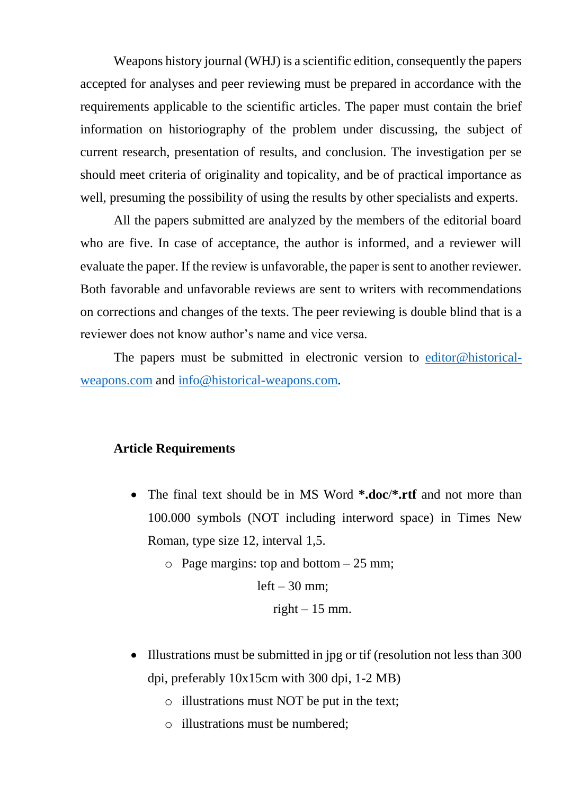Weapons history journal (WHJ) is a scientific edition, consequently the papers accepted for analyses and peer reviewing must be prepared in accordance with the requirements applicable to the scientific articles. The paper must contain the brief information on historiography of the problem under discussing, the subject of current research, presentation of results, and conclusion. The investigation per se should meet criteria of originality and topicality, and be of practical importance as well, presuming the possibility of using the results by other specialists and experts.

All the papers submitted are analyzed by the members of the editorial board who are five. In case of acceptance, the author is informed, and a reviewer will evaluate the paper. If the review is unfavorable, the paper is sent to another reviewer. Both favorable and unfavorable reviews are sent to writers with recommendations on corrections and changes of the texts. The peer reviewing is double blind that is a reviewer does not know author's name and vice versa.

The papers must be submitted in electronic version to [editor@historical](mailto:editor@historical-weapons.com)[weapons.com](mailto:editor@historical-weapons.com) and [info@historical-weapons.com.](mailto:info@historical-weapons.com)

#### **Article Requirements**

- The final text should be in MS Word **\*.doc**/**\*.rtf** and not more than 100.000 symbols (NOT including interword space) in Times New Roman, type size 12, interval 1,5.
	- $\circ$  Page margins: top and bottom  $-25$  mm;

 $left - 30$  mm;

right  $-15$  mm.

- Illustrations must be submitted in jpg or tif (resolution not less than 300 dpi, preferably 10x15cm with 300 dpi, 1-2 MB)
	- o illustrations must NOT be put in the text;
	- o illustrations must be numbered;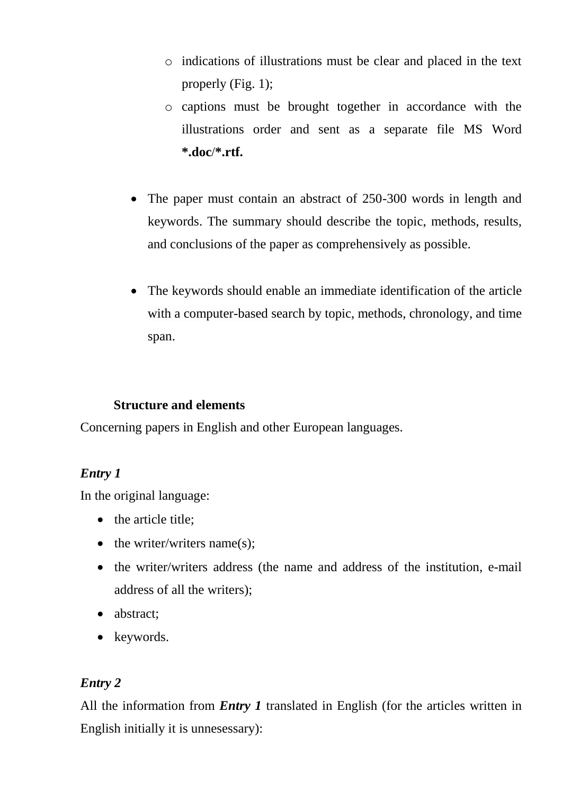- o indications of illustrations must be clear and placed in the text properly (Fig. 1);
- o captions must be brought together in accordance with the illustrations order and sent as a separate file MS Word **\*.doc**/**\*.rtf.**
- The paper must contain an abstract of 250-300 words in length and keywords. The summary should describe the topic, methods, results, and conclusions of the paper as comprehensively as possible.
- The keywords should enable an immediate identification of the article with a computer-based search by topic, methods, chronology, and time span.

#### **Structure and elements**

Concerning papers in English and other European languages.

# *Entry 1*

In the original language:

- $\bullet$  the article title;
- $\bullet$  the writer/writers name(s):
- the writer/writers address (the name and address of the institution, e-mail address of all the writers);
- abstract;
- keywords.

# *Entry 2*

All the information from *Entry 1* translated in English (for the articles written in English initially it is unnesessary):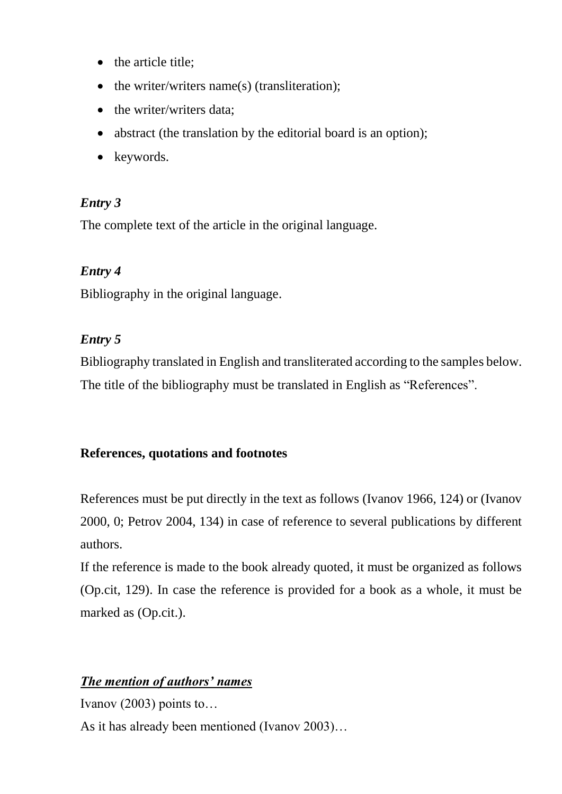- the article title;
- $\bullet$  the writer/writers name(s) (transliteration);
- the writer/writers data;
- abstract (the translation by the editorial board is an option);
- keywords.

# *Entry 3*

The complete text of the article in the original language.

# *Entry 4*

Bibliography in the original language.

# *Entry 5*

Bibliography translated in English and transliterated according to the samples below. The title of the bibliography must be translated in English as "References".

# **References, quotations and footnotes**

References must be put directly in the text as follows (Ivanov 1966, 124) or (Ivanov 2000, 0; Petrov 2004, 134) in case of reference to several publications by different authors.

If the reference is made to the book already quoted, it must be organized as follows (Op.cit, 129). In case the reference is provided for a book as a whole, it must be marked as (Op.cit.).

# *The mention of authors' names*

Ivanov (2003) points to… As it has already been mentioned (Ivanov 2003)…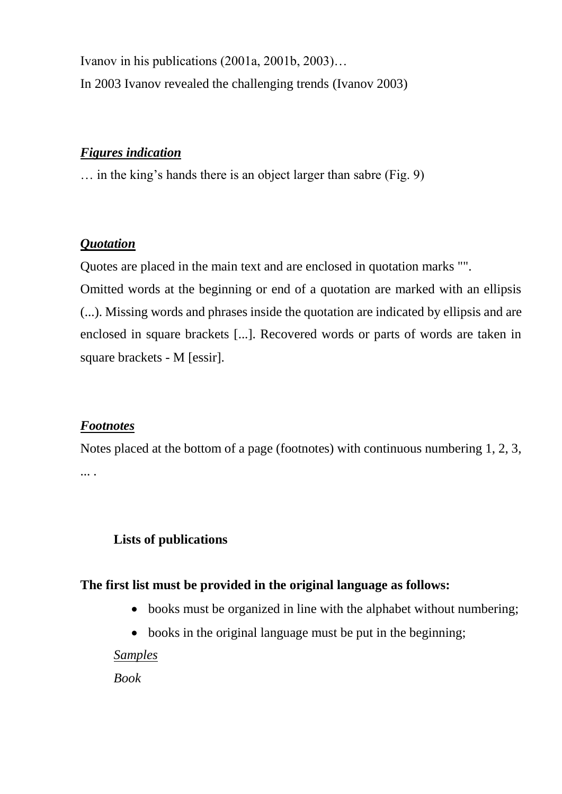Ivanov in his publications (2001a, 2001b, 2003)… In 2003 Ivanov revealed the challenging trends (Ivanov 2003)

#### *Figures indication*

… in the king's hands there is an object larger than sabre (Fig. 9)

#### *Quotation*

Quotes are placed in the main text and are enclosed in quotation marks "".

Omitted words at the beginning or end of a quotation are marked with an ellipsis (...). Missing words and phrases inside the quotation are indicated by ellipsis and are enclosed in square brackets [...]. Recovered words or parts of words are taken in square brackets - M [essir].

## *Footnotes*

Notes placed at the bottom of a page (footnotes) with continuous numbering 1, 2, 3, ... .

## **Lists of publications**

#### **The first list must be provided in the original language as follows:**

- books must be organized in line with the alphabet without numbering;
- books in the original language must be put in the beginning;

#### *Samples*

*Book*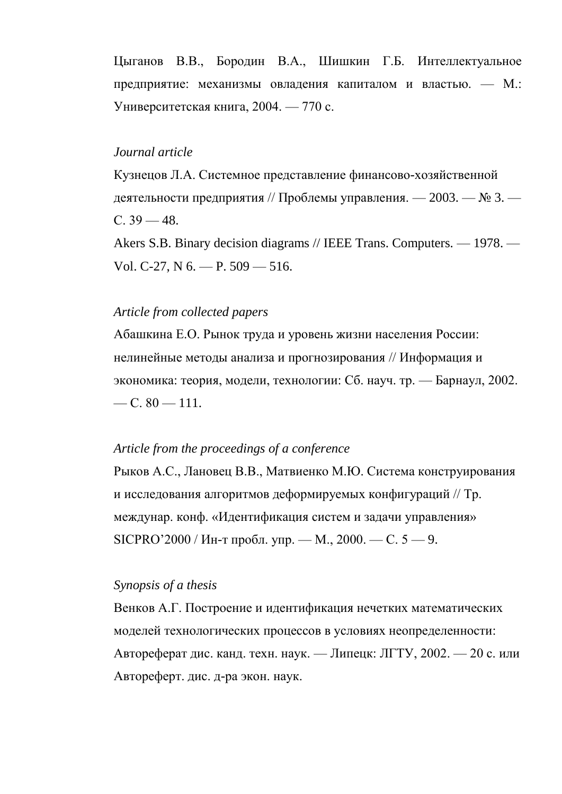Цыганов В.В., Бородин В.А., Шишкин Г.Б. Интеллектуальное предприятие: механизмы овладения капиталом и властью. — М.: Университетская книга, 2004. — 770 с.

#### *Journal article*

Кузнецов Л.А. Системное представление финансово-хозяйственной деятельности предприятия // Проблемы управления. — 2003. — № 3. — С.  $39 - 48$ .

Akers S.B. Binary decision diagrams // IEEE Trans. Computers. — 1978. — Vol. C-27, N 6. — P. 509 — 516.

#### *Article from collected papers*

Абашкина Е.О. Рынок труда и уровень жизни населения России: нелинейные методы анализа и прогнозирования // Информация и экономика: теория, модели, технологии: Сб. науч. тр. — Барнаул, 2002.  $-C. 80 - 111.$ 

#### *Article from the proceedings of a conference*

Рыков А.С., Лановец В.В., Матвиенко М.Ю. Система конструирования и исследования алгоритмов деформируемых конфигураций // Тр. междунар. конф. «Идентификация систем и задачи управления» SICPRO'2000 / Ин-т пробл. упр. — М., 2000. — С.  $5 - 9$ .

#### *Synopsis of a thesis*

Венков А.Г. Построение и идентификация нечетких математических моделей технологических процессов в условиях неопределенности: Автореферат дис. канд. техн. наук. — Липецк: ЛГТУ, 2002. — 20 с. или Автореферт. дис. д-ра экон. наук.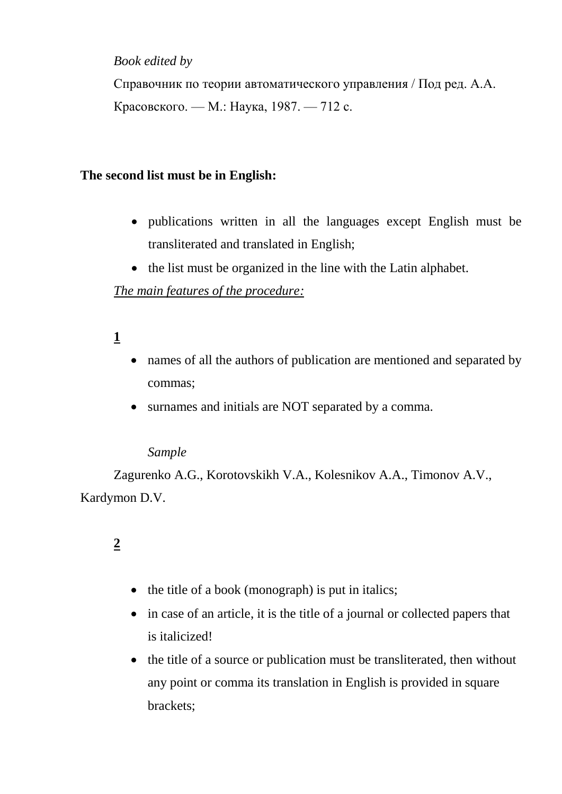## *Book edited by*

Справочник по теории автоматического управления / Под ред. А.А. Красовского. — М.: Наука, 1987. — 712 с.

# **The second list must be in English:**

- publications written in all the languages except English must be transliterated and translated in English;
- the list must be organized in the line with the Latin alphabet.

# *The main features of the procedure:*

# **1**

- names of all the authors of publication are mentioned and separated by commas;
- surnames and initials are NOT separated by a comma.

## *Sample*

Zagurenko A.G., Korotovskikh V.A., Kolesnikov A.A., Timonov A.V., Kardymon D.V.

# **2**

- $\bullet$  the title of a book (monograph) is put in italics;
- in case of an article, it is the title of a journal or collected papers that is italicized!
- the title of a source or publication must be transliterated, then without any point or comma its translation in English is provided in square brackets;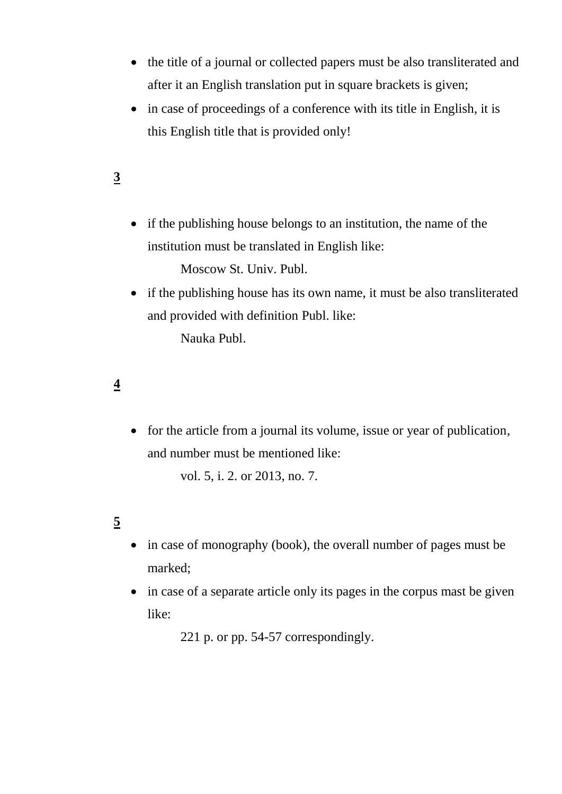- the title of a journal or collected papers must be also transliterated and after it an English translation put in square brackets is given;
- in case of proceedings of a conference with its title in English, it is this English title that is provided only!

# **3**

• if the publishing house belongs to an institution, the name of the institution must be translated in English like:

Moscow St. Univ. Publ.

• if the publishing house has its own name, it must be also transliterated and provided with definition Publ. like:

Nauka Publ.

# **4**

• for the article from a journal its volume, issue or year of publication, and number must be mentioned like:

vol. 5, i. 2. or 2013, no. 7.

# **5**

- in case of monography (book), the overall number of pages must be marked;
- in case of a separate article only its pages in the corpus mast be given like:

221 p. or pp. 54-57 correspondingly.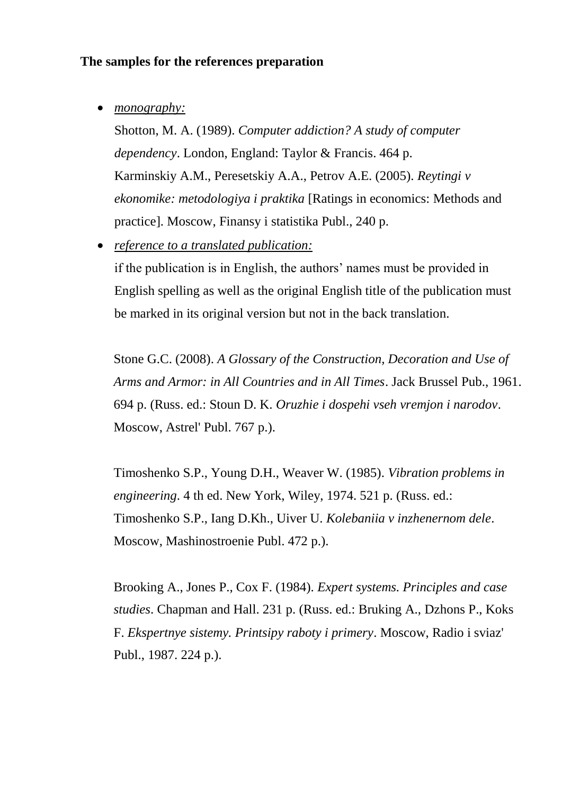#### **The samples for the references preparation**

*monography:*

Shotton, M. A. (1989). *Computer addiction? A study of computer dependency*. London, England: Taylor & Francis. 464 p. Karminskiy A.M., Peresetskiy A.A., Petrov A.E. (2005). *Reytingi v ekonomike: metodologiya i praktika* [Ratings in economics: Methods and practice]. Moscow, Finansy i statistika Publ., 240 p.

*reference to a translated publication:*

if the publication is in English, the authors' names must be provided in English spelling as well as the original English title of the publication must be marked in its original version but not in the back translation.

Stone G.C. (2008). *A Glossary of the Construction, Decoration and Use of Arms and Armor: in All Countries and in All Times*. Jack Brussel Pub., 1961. 694 p. (Russ. ed.: Stoun D. K. *Oruzhie i dospehi vseh vremjon i narodov*. Moscow, Astrel' Publ. 767 p.).

Timoshenko S.P., Young D.H., Weaver W. (1985). *Vibration problems in engineering*. 4 th ed. New York, Wiley, 1974. 521 p. (Russ. ed.: Timoshenko S.P., Iang D.Kh., Uiver U. *Kolebaniia v inzhenernom dele*. Moscow, Mashinostroenie Publ. 472 p.).

Brooking A., Jones P., Cox F. (1984). *Expert systems. Principles and case studies*. Chapman and Hall. 231 p. (Russ. ed.: Bruking A., Dzhons P., Koks F. *Ekspertnye sistemy. Printsipy raboty i primery*. Moscow, Radio i sviaz' Publ., 1987. 224 p.).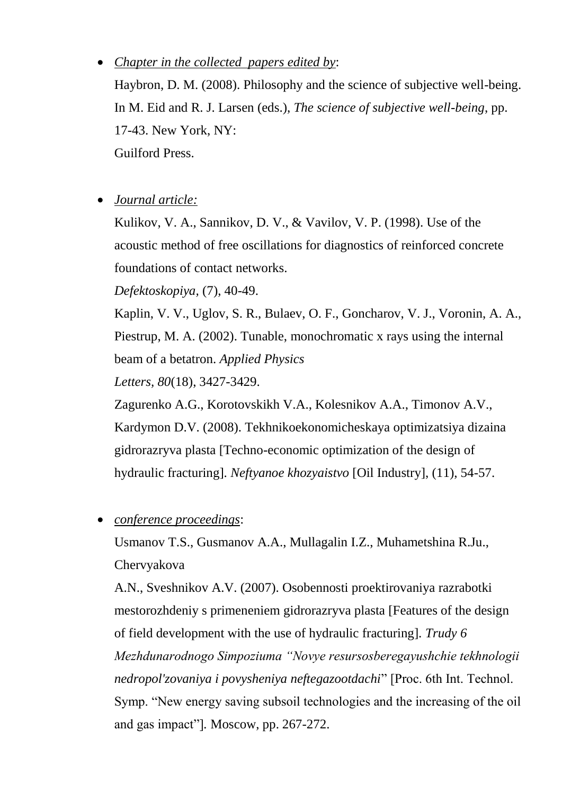# *Chapter in the collected papers edited by*:

Haybron, D. M. (2008). Philosophy and the science of subjective well-being. In M. Eid and R. J. Larsen (eds.), *The science of subjective well-being*, pp. 17-43. New York, NY: Guilford Press.

*Journal article:*

Kulikov, V. A., Sannikov, D. V., & Vavilov, V. P. (1998). Use of the acoustic method of free oscillations for diagnostics of reinforced concrete foundations of contact networks.

*Defektoskopiya,* (7), 40-49.

Kaplin, V. V., Uglov, S. R., Bulaev, O. F., Goncharov, V. J., Voronin, A. A., Piestrup, M. A. (2002). Tunable, monochromatic x rays using the internal beam of a betatron. *Applied Physics*

*Letters, 80*(18), 3427-3429.

Zagurenko A.G., Korotovskikh V.A., Kolesnikov A.A., Timonov A.V., Kardymon D.V. (2008). Tekhnikoekonomicheskaya optimizatsiya dizaina gidrorazryva plasta [Techno-economic optimization of the design of hydraulic fracturing]. *Neftyanoe khozyaistvo* [Oil Industry], (11), 54-57.

*conference proceedings*:

Usmanov T.S., Gusmanov A.A., Mullagalin I.Z., Muhametshina R.Ju., Chervyakova

A.N., Sveshnikov A.V. (2007). Osobennosti proektirovaniya razrabotki mestorozhdeniy s primeneniem gidrorazryva plasta [Features of the design of field development with the use of hydraulic fracturing]. *Trudy 6 Mezhdunarodnogo Simpoziuma "Novye resursosberegayushchie tekhnologii nedropol'zovaniya i povysheniya neftegazootdachi*" [Proc. 6th Int. Technol. Symp. "New energy saving subsoil technologies and the increasing of the oil and gas impact"]*.* Moscow, pp. 267-272.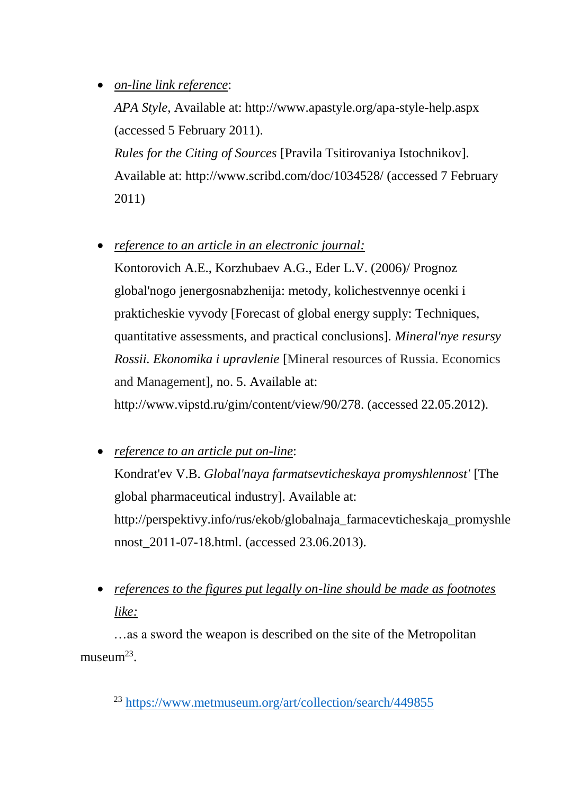# *on-line link reference*:

*APA Style*, Available at: http://www.apastyle.org/apa-style-help.aspx (accessed 5 February 2011).

*Rules for the Citing of Sources* [Pravila Tsitirovaniya Istochnikov]. Available at: http://www.scribd.com/doc/1034528/ (accessed 7 February 2011)

*reference to an article in an electronic journal:*

Kontorovich A.E., Korzhubaev A.G., Eder L.V. (2006)/ Prognoz global'nogo jenergosnabzhenija: metody, kolichestvennye ocenki i prakticheskie vyvody [Forecast of global energy supply: Techniques, quantitative assessments, and practical conclusions]. *Mineral'nye resursy Rossii. Ekonomika i upravlenie* [Mineral resources of Russia. Economics and Management], no. 5. Available at: http://www.vipstd.ru/gim/content/view/90/278. (accessed 22.05.2012).

- *reference to an article put on-line*: Kondrat'ev V.B. *Global'naya farmatsevticheskaya promyshlennost'* [The global pharmaceutical industry]. Available at: http://perspektivy.info/rus/ekob/globalnaja\_farmacevticheskaja\_promyshle nnost\_2011-07-18.html. (accessed 23.06.2013).
- *references to the figures put legally on-line should be made as footnotes like:*

…as a sword the weapon is described on the site of the Metropolitan museum $^{23}$ .

<sup>23</sup> <https://www.metmuseum.org/art/collection/search/449855>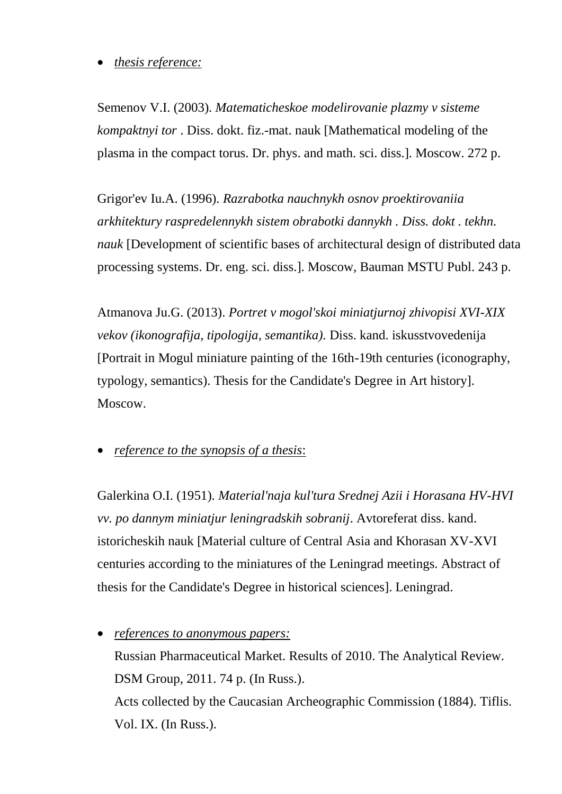## *thesis reference:*

Semenov V.I. (2003)*. Matematicheskoe modelirovanie plazmy v sisteme kompaktnyi tor* . Diss. dokt. fiz.-mat. nauk [Mathematical modeling of the plasma in the compact torus. Dr. phys. and math. sci. diss.]. Moscow. 272 p.

Grigor'ev Iu.A. (1996). *Razrabotka nauchnykh osnov proektirovaniia arkhitektury raspredelennykh sistem obrabotki dannykh . Diss. dokt . tekhn. nauk* [Development of scientific bases of architectural design of distributed data processing systems. Dr. eng. sci. diss.]. Moscow, Bauman MSTU Publ. 243 p.

Atmanova Ju.G. (2013). *Portret v mogol'skoi miniatjurnoj zhivopisi XVI-XIX vekov (ikonografija, tipologija, semantika).* Diss. kand. iskusstvovedenija [Portrait in Mogul miniature painting of the 16th-19th centuries (iconography, typology, semantics). Thesis for the Candidate's Degree in Art history]. Moscow.

*reference to the synopsis of a thesis*:

Galerkina O.I. (1951). *Material'naja kul'tura Srednej Azii i Horasana HV-HVI vv. po dannym miniatjur leningradskih sobranij*. Avtoreferat diss. kand. istoricheskih nauk [Material culture of Central Asia and Khorasan XV-XVI centuries according to the miniatures of the Leningrad meetings. Abstract of thesis for the Candidate's Degree in historical sciences]. Leningrad.

 *references to anonymous papers:*  Russian Pharmaceutical Market. Results of 2010. The Analytical Review. DSM Group, 2011. 74 p. (In Russ.). Acts collected by the Caucasian Archeographic Commission (1884). Tiflis. Vol. IX. (In Russ.).